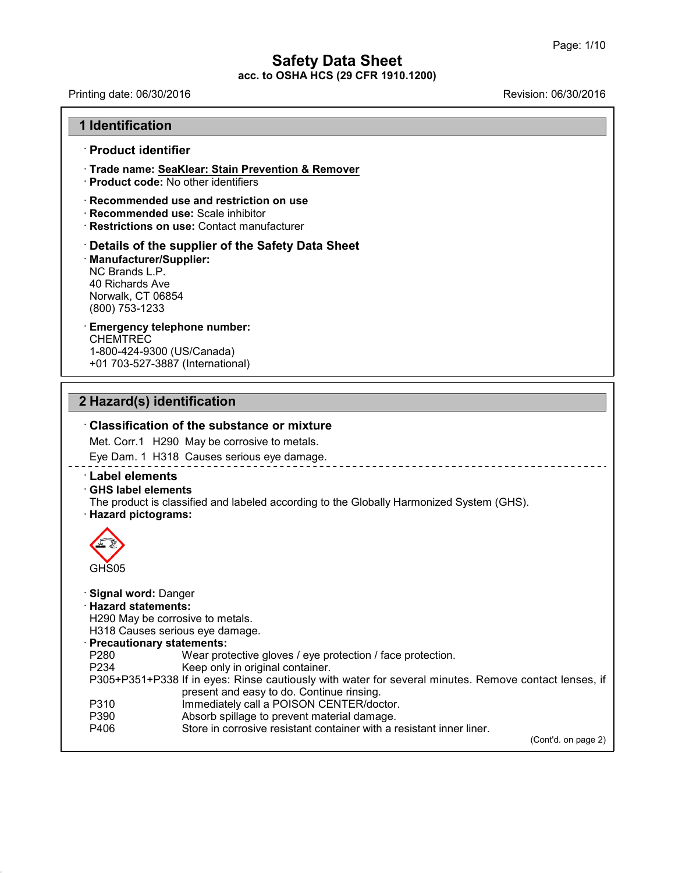Printing date: 06/30/2016 Revision: 06/30/2016

# **1 Identification** · **Product identifier**

# · **Trade name: SeaKlear: Stain Prevention & Remover**

· **Product code:** No other identifiers

#### · **Recommended use and restriction on use**

- · **Recommended use:** Scale inhibitor
- · **Restrictions on use:** Contact manufacturer

#### · **Details of the supplier of the Safety Data Sheet** · **Manufacturer/Supplier:** NC Brands L.P. 40 Richards Ave Norwalk, CT 06854 (800) 753-1233

#### · **Emergency telephone number:** CHEMTREC

1-800-424-9300 (US/Canada) +01 703-527-3887 (International)

# **2 Hazard(s) identification**

### · **Classification of the substance or mixture**

Met. Corr.1 H290 May be corrosive to metals.

Eye Dam. 1 H318 Causes serious eye damage.

# · **Label elements**

· **GHS label elements**

The product is classified and labeled according to the Globally Harmonized System (GHS). · **Hazard pictograms:**



43.0

#### · **Signal word:** Danger

· **Hazard statements:**

H290 May be corrosive to metals.

H318 Causes serious eye damage.

# · **Precautionary statements:**

P280 Wear protective gloves / eye protection / face protection.<br>P234 Keep only in original container. Keep only in original container. P305+P351+P338 If in eyes: Rinse cautiously with water for several minutes. Remove contact lenses, if present and easy to do. Continue rinsing.

- 
- P310 Immediately call a POISON CENTER/doctor.<br>P390 Absorb spillage to prevent material damage.
- P390 Absorb spillage to prevent material damage.<br>P406 Store in corrosive resistant container with a r Store in corrosive resistant container with a resistant inner liner.

(Cont'd. on page 2)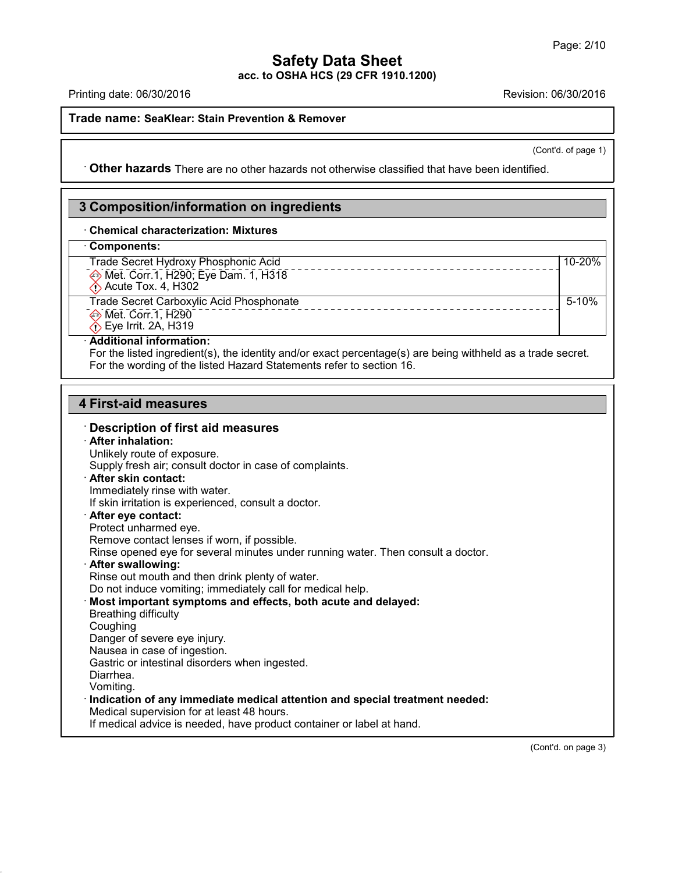Printing date: 06/30/2016 Revision: 06/30/2016

#### **Trade name: SeaKlear: Stain Prevention & Remover**

(Cont'd. of page 1)

· **Other hazards** There are no other hazards nototherwise classified that have been identified.

# **3 Composition/information on ingredients**

#### · **Chemical characterization: Mixtures**

# · **Components:**

| vviilvviiviilvi                                 |         |
|-------------------------------------------------|---------|
| Trade Secret Hydroxy Phosphonic Acid            | 10-20%  |
| Met. Corr.1, H290; Eye Dam. 1, H318             |         |
| $\bigcirc$ Acute Tox. 4, H302                   |         |
| <b>Trade Secret Carboxylic Acid Phosphonate</b> | $5-10%$ |
| ♦ Met. Corr.1, H290                             |         |
| $\hat{\Diamond}$ Eye Irrit. 2A, H319            |         |

#### · **Additional information:**

For the listed ingredient(s), the identity and/or exact percentage(s) are being withheld as a trade secret. For the wording of the listed Hazard Statements refer to section 16.

# **4 First-aid measures**

#### · **Description of first aid measures**

#### · **After inhalation:**

43.0

Unlikely route of exposure. Supply fresh air; consult doctor in case of complaints. · **After skin contact:** Immediately rinse with water. If skin irritation is experienced, consult a doctor. · **After eye contact:** Protect unharmed eye. Remove contact lenses if worn, if possible. Rinse opened eye for several minutes under running water. Then consult a doctor. · **After swallowing:** Rinse out mouth and then drink plenty of water. Do not induce vomiting; immediately call for medical help. · **Most important symptoms and effects, both acute and delayed:** Breathing difficulty **Coughing** Danger of severe eye injury. Nausea in case of ingestion. Gastric or intestinal disorders when ingested. Diarrhea. Vomiting. · **Indication of any immediate medical attention and special treatment needed:** Medical supervision for at least 48 hours. If medical advice is needed, have product container or label at hand.

(Cont'd. on page 3)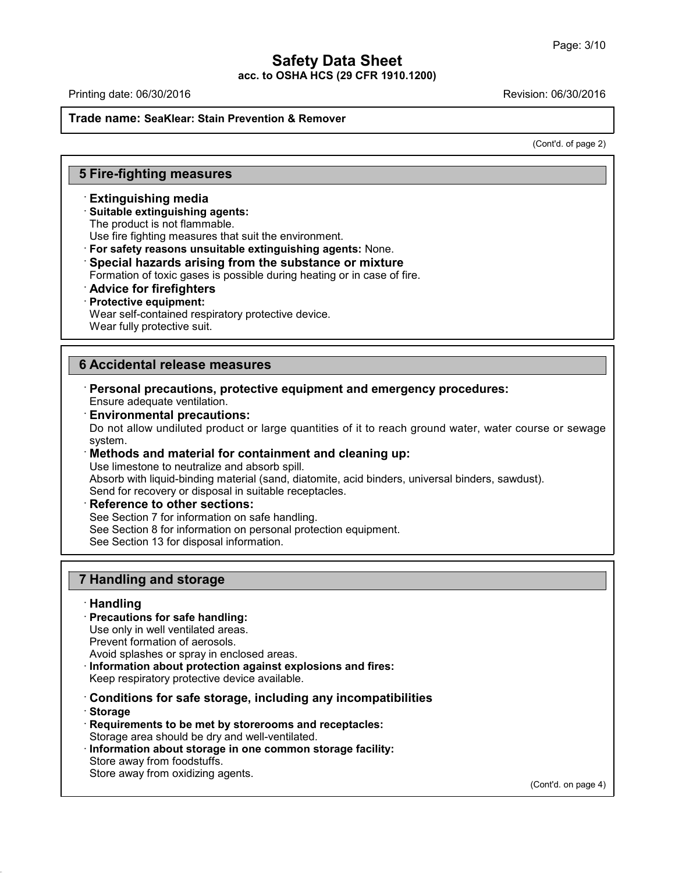**acc. to OSHA HCS (29 CFR 1910.1200)**

Printing date: 06/30/2016 Revision: 06/30/2016

#### **Trade name: SeaKlear: Stain Prevention & Remover**

(Cont'd. of page 2)

# **5 Fire-fighting measures**

#### · **Extinguishing media**

#### · **Suitable extinguishing agents:**

The product is not flammable.

Use fire fighting measures that suit the environment.

· **For safety reasons unsuitable extinguishing agents:** None.

#### · **Special hazards arising from the substance or mixture**

Formation of toxic gases is possible during heating or in case of fire.

· **Advice for firefighters**

#### · **Protective equipment:**

Wear self-contained respiratory protective device.

Wear fully protective suit.

# **6 Accidental release measures**

- · **Personal precautions, protective equipment and emergency procedures:** Ensure adequate ventilation.
- · **Environmental precautions:**

Do not allow undiluted product or large quantities of it to reach ground water, water course or sewage system.

# · **Methods and material for containment and cleaning up:**

Use limestone to neutralize and absorb spill.

Absorb with liquid-binding material (sand, diatomite, acid binders, universal binders, sawdust).

Send for recovery or disposal in suitable receptacles.

# · **Reference to other sections:**

See Section 7 for information on safe handling.

See Section 8 for information on personal protection equipment.

See Section 13 for disposal information.

# **7 Handling and storage**

#### · **Handling**

· **Precautions for safe handling:**

Use only in well ventilated areas.

Prevent formation of aerosols.

Avoid splashes or spray in enclosed areas.

· **Information about protection against explosions and fires:**

Keep respiratory protective device available.

· **Conditions for safe storage, including any incompatibilities**

· **Storage**

43.0

- · **Requirements to be met by storerooms and receptacles:** Storage area should be dry and well-ventilated.
- · **Information about storage in one common storage facility:** Store away from foodstuffs. Store away from oxidizing agents.

(Cont'd. on page 4)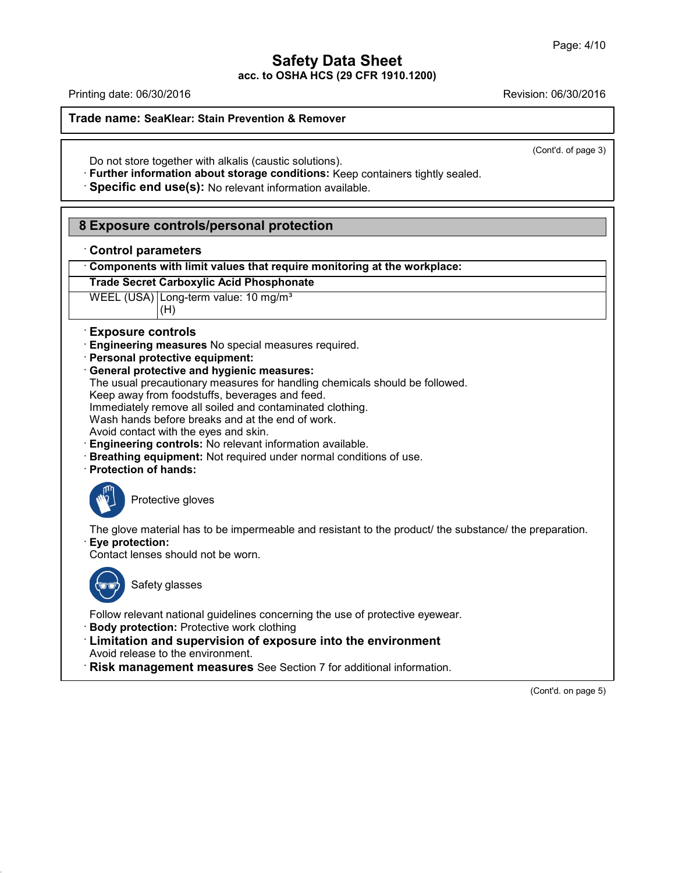**acc. to OSHA HCS (29 CFR 1910.1200)**

Printing date: 06/30/2016 Revision: 06/30/2016

**Trade name: SeaKlear: Stain Prevention & Remover**

(Cont'd. of page 3)

Do not store together with alkalis (caustic solutions).

· **Further information about storage conditions:** Keep containers tightly sealed.

· **Specific end use(s):** No relevant information available.

# **8 Exposure controls/personal protection**

|  |  | <b>Control parameters</b> |
|--|--|---------------------------|
|--|--|---------------------------|

· **Components with limit values that require monitoring at the workplace:**

# **Trade Secret Carboxylic Acid Phosphonate**

WEEL (USA) Long-term value: 10 mg/m<sup>3</sup> (H)

# · **Exposure controls**

· **Engineering measures** No special measures required.

- · **Personal protective equipment:**
- · **General protective and hygienic measures:**
- The usual precautionary measures for handling chemicals should be followed.

Keep away from foodstuffs, beverages and feed.

Immediately remove all soiled and contaminated clothing.

Wash hands before breaks and at the end of work.

Avoid contact with the eyes and skin.

- · **Engineering controls:** No relevant information available.
- · **Breathing equipment:** Not required under normal conditions of use.
- · **Protection of hands:**



Protective gloves

The glove material has to be impermeable and resistant to the product/ the substance/ the preparation. · **Eye protection:**

Contact lenses should not be worn.



43.0

Safety glasses

Follow relevant national guidelines concerning the use of protective eyewear.

· **Body protection:** Protective work clothing

· **Limitation and supervision of exposure into the environment** Avoid release to the environment.

· **Risk management measures** See Section 7 for additional information.

(Cont'd. on page 5)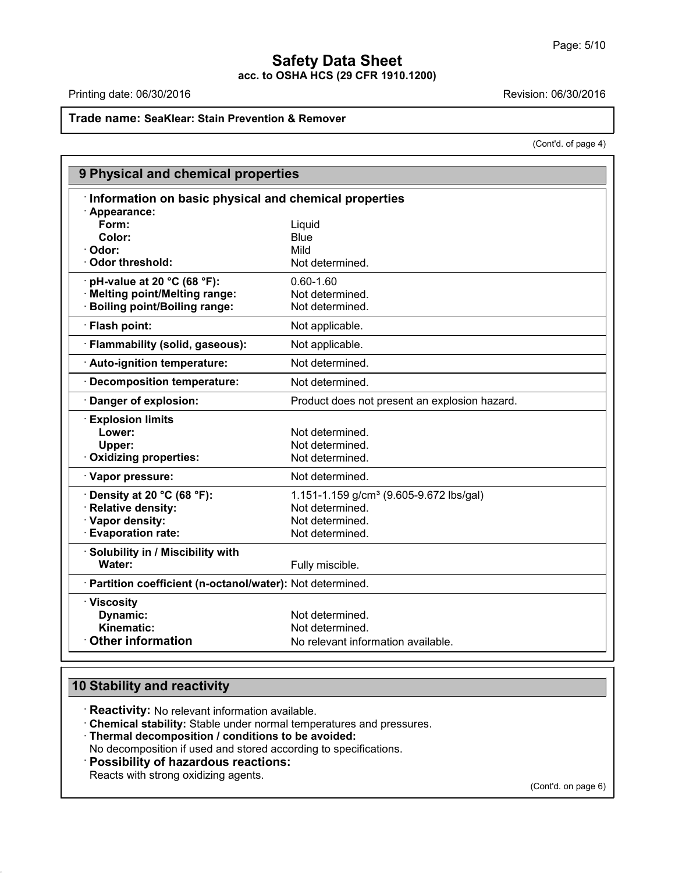Printing date: 06/30/2016 **Revision: 06/30/2016** 

# **Trade name: SeaKlear: Stain Prevention & Remover**

(Cont'd. of page 4)

| Information on basic physical and chemical properties<br>· Appearance: |                                                     |
|------------------------------------------------------------------------|-----------------------------------------------------|
|                                                                        |                                                     |
|                                                                        |                                                     |
| Form:                                                                  | Liquid                                              |
| Color:                                                                 | <b>Blue</b>                                         |
| · Odor:                                                                | Mild                                                |
| Odor threshold:                                                        | Not determined.                                     |
| $\cdot$ pH-value at 20 °C (68 °F):                                     | $0.60 - 1.60$                                       |
| · Melting point/Melting range:                                         | Not determined.                                     |
| <b>Boiling point/Boiling range:</b>                                    | Not determined.                                     |
| · Flash point:                                                         | Not applicable.                                     |
| · Flammability (solid, gaseous):                                       | Not applicable.                                     |
| · Auto-ignition temperature:                                           | Not determined.                                     |
| · Decomposition temperature:                                           | Not determined.                                     |
| Danger of explosion:                                                   | Product does not present an explosion hazard.       |
| <b>Explosion limits</b>                                                |                                                     |
| Lower:                                                                 | Not determined.                                     |
| Upper:                                                                 | Not determined.                                     |
| Oxidizing properties:                                                  | Not determined.                                     |
| · Vapor pressure:                                                      | Not determined.                                     |
| $\cdot$ Density at 20 °C (68 °F):                                      | 1.151-1.159 g/cm <sup>3</sup> (9.605-9.672 lbs/gal) |
| · Relative density:                                                    | Not determined.                                     |
| · Vapor density:                                                       | Not determined.                                     |
| <b>Evaporation rate:</b>                                               | Not determined.                                     |
| · Solubility in / Miscibility with                                     |                                                     |
| Water:                                                                 | Fully miscible.                                     |
| · Partition coefficient (n-octanol/water): Not determined.             |                                                     |
| · Viscosity                                                            |                                                     |
| Dynamic:                                                               | Not determined.                                     |
| Kinematic:                                                             | Not determined.                                     |
| <b>Other information</b>                                               | No relevant information available.                  |

# **10 Stability and reactivity**

43.0

· **Reactivity:** No relevant information available.

· **Chemical stability:** Stable under normal temperatures and pressures.

· **Thermal decomposition / conditions to be avoided:**

No decomposition if used and stored according to specifications.

· **Possibility of hazardous reactions:**

Reacts with strong oxidizing agents.

(Cont'd. on page 6)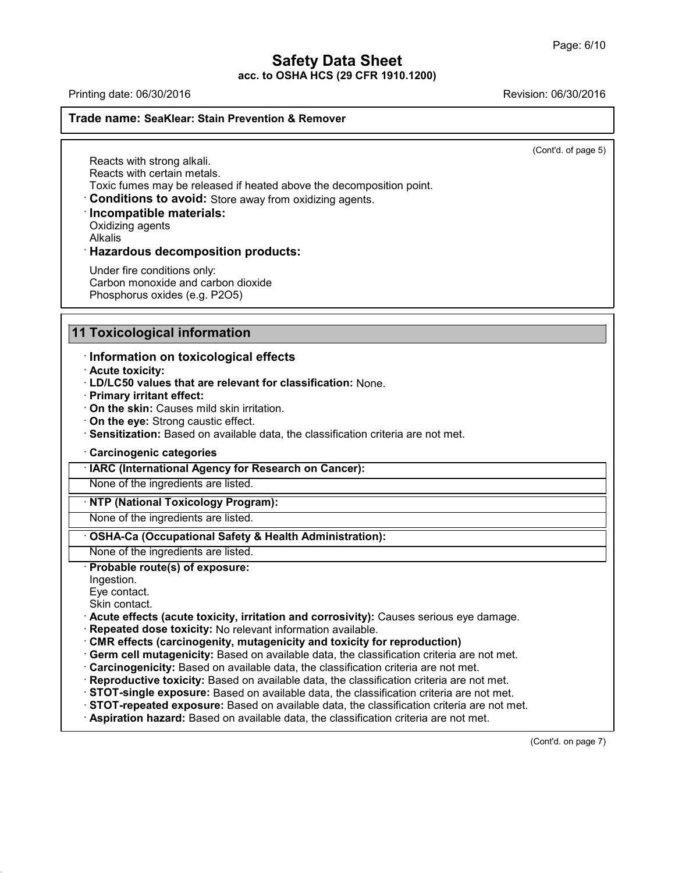**acc. to OSHA HCS (29 CFR 1910.1200)**

Printing date: 06/30/2016 Revision: 06/30/2016

#### **Trade name: SeaKlear: Stain Prevention & Remover**

(Cont'd. of page 5)

Reacts with strong alkali. Reacts with certain metals. Toxic fumes may be released if heated above the decomposition point.

· **Conditions to avoid:** Store away from oxidizing agents.

### · **Incompatible materials:**

Oxidizing agents

Alkalis

### · **Hazardous decomposition products:**

Under fire conditions only: Carbon monoxide and carbon dioxide Phosphorus oxides (e.g. P2O5)

# **11 Toxicological information**

### · **Information on toxicological effects**

· **Acute toxicity:**

- · **LD/LC50 values that are relevant for classification:** None.
- · **Primary irritant effect:**
- · **On the skin:** Causes mild skin irritation.
- · **On the eye:** Strong caustic effect.
- · **Sensitization:** Based on available data, the classification criteria are not met.
- · **Carcinogenic categories**

· **IARC (International Agency for Research on Cancer):**

None of the ingredients are listed.

· **NTP (National Toxicology Program):**

None of the ingredients are listed.

# · **OSHA-Ca (Occupational Safety & Health Administration):**

None of the ingredients are listed.

· **Probable route(s) of exposure:**

#### Ingestion.

Eye contact.

Skin contact.

43.0

· **Acute effects (acute toxicity, irritation and corrosivity):** Causes serious eye damage.

- · **Repeated dose toxicity:** No relevant information available.
- · **CMR effects (carcinogenity, mutagenicity and toxicity for reproduction)**
- · **Germ cell mutagenicity:** Based on available data, the classification criteria are not met.
- · **Carcinogenicity:** Based on available data, the classification criteria are not met.
- · **Reproductive toxicity:** Based on available data, the classification criteria are not met.
- · **STOT-single exposure:** Based on available data, the classification criteria are not met.
- · **STOT-repeated exposure:** Based on available data, the classification criteria are not met.
- · **Aspiration hazard:** Based on available data, the classification criteria are not met.

(Cont'd. on page 7)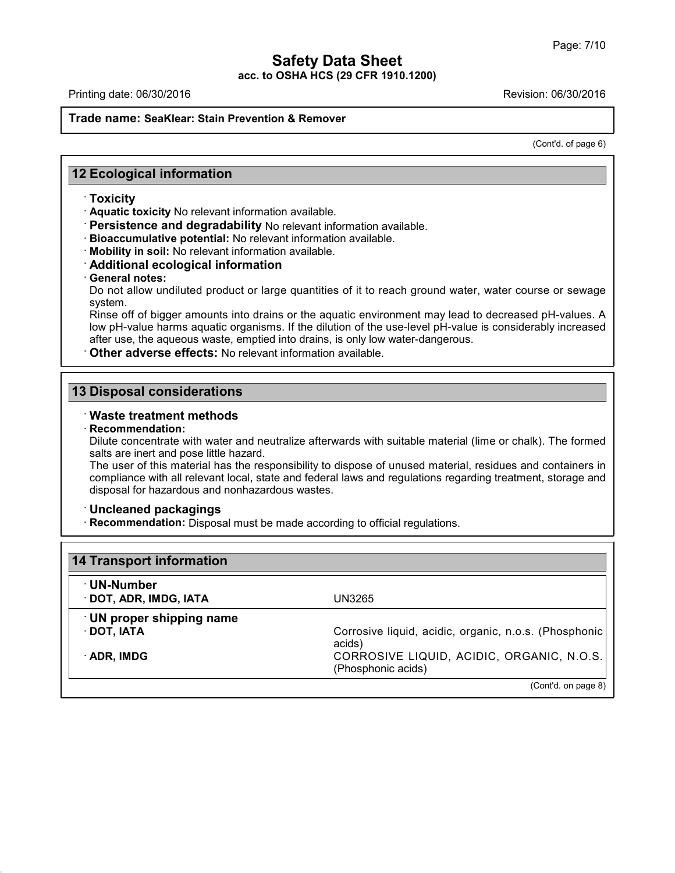Printing date: 06/30/2016 Revision: 06/30/2016

#### **Trade name: SeaKlear: Stain Prevention & Remover**

(Cont'd. of page 6)

# **12 Ecological information**

#### · **Toxicity**

· **Aquatic toxicity** No relevant information available.

- · **Persistence and degradability** No relevant information available.
- · **Bioaccumulative potential:** No relevant information available.
- · **Mobility in soil:** No relevant information available.
- · **Additional ecological information**
- · **General notes:**

Do not allow undiluted product or large quantities of it to reach ground water, water course or sewage system.

Rinse off of bigger amounts into drains or the aquatic environment may lead to decreased pH-values. A low pH-value harms aquatic organisms. If the dilution of the use-level pH-value is considerably increased after use, the aqueous waste, emptied into drains, is only low water-dangerous.

· **Other adverse effects:** No relevant information available.

# **13 Disposal considerations**

### · **Waste treatment methods**

#### · **Recommendation:**

43.0

Dilute concentrate with water and neutralize afterwards with suitable material (lime or chalk). The formed salts are inert and pose little hazard.

The user of this material has the responsibility to dispose of unused material, residues and containers in compliance with all relevant local, state and federal laws and regulations regarding treatment, storage and disposal for hazardous and nonhazardous wastes.

#### · **Uncleaned packagings**

· **Recommendation:** Disposal must be made according to official regulations.

| · UN-Number<br>· DOT, ADR, IMDG, IATA | UN3265                                                          |
|---------------------------------------|-----------------------------------------------------------------|
| <b>UN proper shipping name</b>        |                                                                 |
| $\cdot$ DOT, IATA                     | Corrosive liquid, acidic, organic, n.o.s. (Phosphonic<br>acids) |
| $\cdot$ ADR, IMDG                     | CORROSIVE LIQUID, ACIDIC, ORGANIC, N.O.S.<br>(Phosphonic acids) |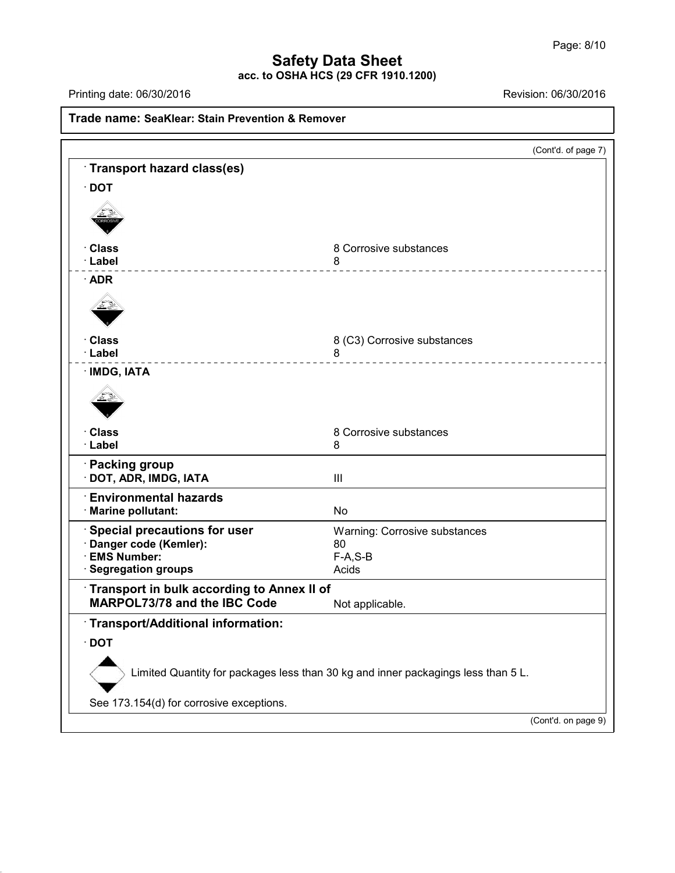**acc. to OSHA HCS (29 CFR 1910.1200)**

Printing date: 06/30/2016 **Revision: 06/30/2016** 

43.0

|                                              | (Cont'd. of page 7)                                                               |
|----------------------------------------------|-----------------------------------------------------------------------------------|
| Transport hazard class(es)                   |                                                                                   |
| $\cdot$ DOT                                  |                                                                                   |
|                                              |                                                                                   |
| · Class                                      | 8 Corrosive substances                                                            |
| · Label                                      | 8<br>____________________                                                         |
| $\cdot$ ADR                                  |                                                                                   |
|                                              |                                                                                   |
| · Class                                      | 8 (C3) Corrosive substances                                                       |
| · Label<br>---------------                   | 8<br>_______________________                                                      |
| · IMDG, IATA                                 |                                                                                   |
|                                              |                                                                                   |
| · Class<br>· Label                           | 8 Corrosive substances<br>8                                                       |
| <b>Packing group</b><br>DOT, ADR, IMDG, IATA | Ш                                                                                 |
| <b>Environmental hazards</b>                 |                                                                                   |
| <b>Marine pollutant:</b>                     | <b>No</b>                                                                         |
| Special precautions for user                 | Warning: Corrosive substances                                                     |
| Danger code (Kemler):<br><b>EMS Number:</b>  | 80<br>$F-A, S-B$                                                                  |
| <b>Segregation groups</b>                    | Acids                                                                             |
| Transport in bulk according to Annex II of   |                                                                                   |
| MARPOL73/78 and the IBC Code                 | Not applicable                                                                    |
| Transport/Additional information:            |                                                                                   |
| $\cdot$ DOT                                  |                                                                                   |
|                                              | Limited Quantity for packages less than 30 kg and inner packagings less than 5 L. |
| See 173.154(d) for corrosive exceptions.     |                                                                                   |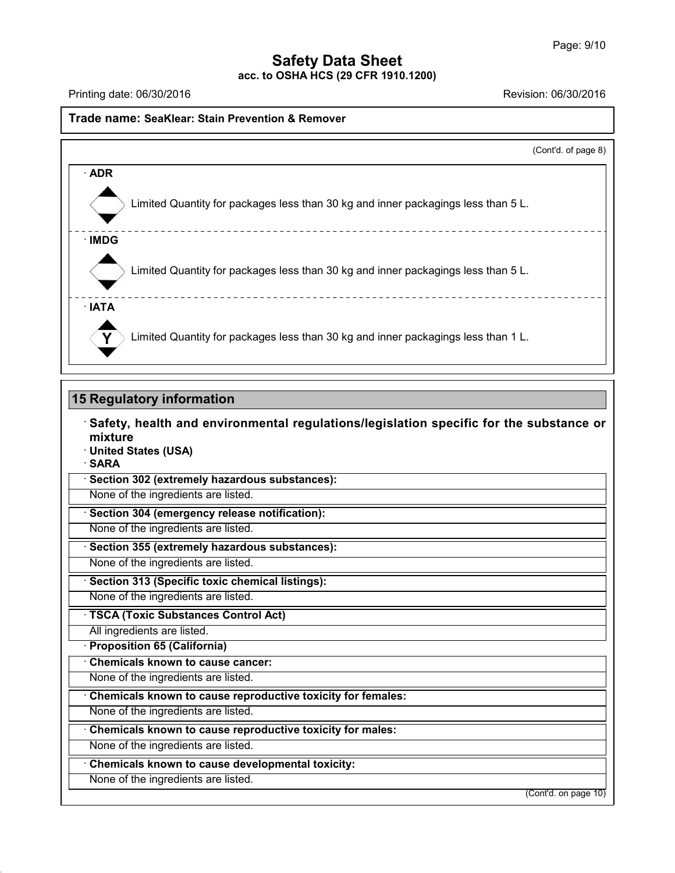**acc. to OSHA HCS (29 CFR 1910.1200)**

Printing date: 06/30/2016 Revision: 06/30/2016

### **Trade name: SeaKlear: Stain Prevention & Remover**

|                                                                                   | (Cont'd. of page 8) |
|-----------------------------------------------------------------------------------|---------------------|
| $\cdot$ ADR                                                                       |                     |
| Limited Quantity for packages less than 30 kg and inner packagings less than 5 L. |                     |
| $\cdot$ IMDG                                                                      |                     |
| Limited Quantity for packages less than 30 kg and inner packagings less than 5 L. |                     |
| · IATA                                                                            |                     |
| Limited Quantity for packages less than 30 kg and inner packagings less than 1 L. |                     |

### **15 Regulatory information**

· **Safety, health and environmental regulations/legislation specific for the substance or mixture** · **United States (USA)** · **SARA** · **Section 302 (extremely hazardous substances):** None of the ingredients are listed. · **Section 304 (emergency release notification):**

None of the ingredients are listed.

· **Section 355 (extremely hazardous substances):**

None of the ingredients are listed.

· **Section 313 (Specific toxic chemical listings):**

None of the ingredients are listed.

· **TSCA (Toxic Substances Control Act)**

All ingredients are listed.

· **Proposition 65 (California)**

· **Chemicals known to cause cancer:**

None of the ingredients are listed.

· **Chemicals known to cause reproductive toxicity for females:**

None of the ingredients are listed.

· **Chemicals known to cause reproductive toxicity for males:**

None of the ingredients are listed.

· **Chemicals known to cause developmental toxicity:**

None of the ingredients are listed.

43.0

(Cont'd. on page 10)